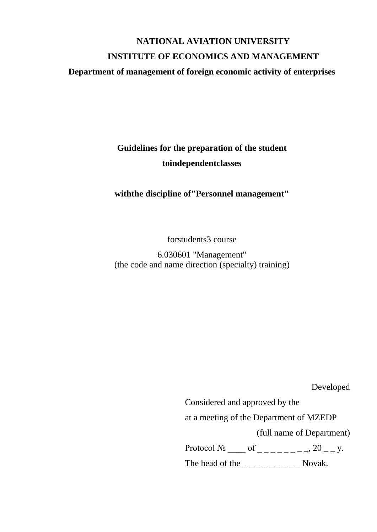# **NATIONAL AVIATION UNIVERSITY INSTITUTE OF ECONOMICS AND MANAGEMENT**

## **Department of management of foreign economic activity of enterprises**

**Guidelines for the preparation of the student toindependentclasses**

**withthe discipline of"Personnel management"**

forstudents3 course

6.030601 "Management" (the code and name direction (specialty) training)

Developed

Considered and approved by the at a meeting of the Department of MZEDP (full name of Department) Protocol  $\mathcal{N}_{2}$  \_\_\_\_ of \_\_\_\_\_\_\_\_\_, 20 \_\_ y.

The head of the \_ \_ \_ \_ \_ \_ \_ \_ \_ Novak.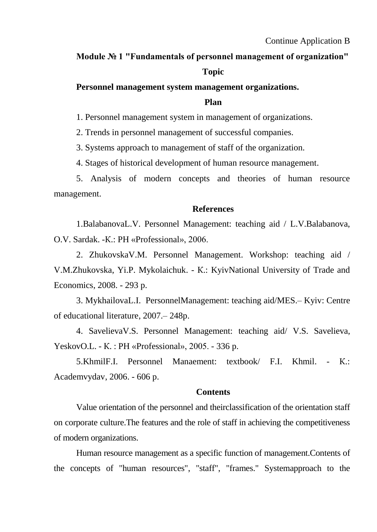## **Module № 1 "Fundamentals of personnel management of organization"**

#### **Topic**

## **Personnel management system management organizations.**

## **Plan**

1. Personnel management system in management of organizations.

2. Trends in personnel management of successful companies.

3. Systems approach to management of staff of the organization.

4. Stages of historical development of human resource management.

5. Analysis of modern concepts and theories of human resource management.

#### **References**

1.BalabanovaL.V. Personnel Management: teaching aid / L.V.Balabanova, O.V. Sardak. -К.: PH «Professional», 2006.

2. ZhukovskaV.M. Personnel Management. Workshop: teaching aid / V.M.Zhukovska, Yi.P. Mykolaichuk. - К.: KyivNational University of Trade and Economics, 2008. - 293 p.

3. MykhailovaL.I. PersonnelManagement: teaching aid/MES.– Kyiv: Centre of educational literature, 2007.– 248p.

4. SavelievaV.S. Personnel Management: teaching aid/ V.S. Savelieva, YeskovO.L. - К. : PH «Professional», 2005. - 336 p.

5.KhmilF.I. Personnel Manaement: textbook/ F.I. Khmil. - К.: Academvydav, 2006. - 606 p.

#### **Contents**

Value orientation of the personnel and theirclassification of the orientation staff on corporate culture.The features and the role of staff in achieving the competitiveness of modern organizations.

Human resource management as a specific function of management.Contents of the concepts of "human resources", "staff", "frames." Systemapproach to the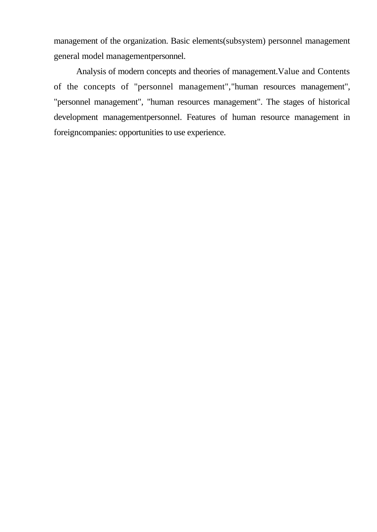management of the organization. Basic elements(subsystem) personnel management general model managementpersonnel.

Analysis of modern concepts and theories of management.Value and Contents of the concepts of "personnel management","human resources management", "personnel management", "human resources management". The stages of historical development managementpersonnel. Features of human resource management in foreigncompanies: opportunities to use experience.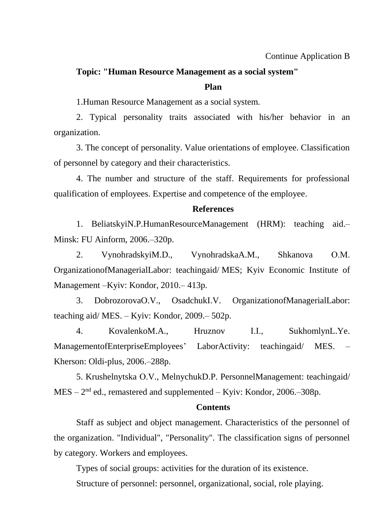## **Topic: "Human Resource Management as a social system"**

## **Plan**

1.Human Resource Management as a social system.

2. Typical personality traits associated with his/her behavior in an organization.

3. The concept of personality. Value orientations of employee. Classification of personnel by category and their characteristics.

4. The number and structure of the staff. Requirements for professional qualification of employees. Expertise and competence of the employee.

#### **References**

[1. BeliatskyiN.P.HumanResourceManagement](http://www.lib.nau.edu.ua/search/Details.aspx?id=153566&lang=uk-UA) (HRM): teaching aid.– Minsk: [FU Ainform,](http://www.lib.nau.edu.ua/search/Details.aspx?id=153566&lang=uk-UA) 2006.–320p.

2. [VynohradskyiM.D., VynohradskaA.M., Shkanova](http://www.lib.nau.edu.ua/search/Details.aspx?id=225980&lang=uk-UA) О.М. [OrganizationofManagerialLabor: teachingaid/](http://www.lib.nau.edu.ua/search/Details.aspx?id=225980&lang=uk-UA) MES; Kyiv Economic Institute of [Management –Kyiv:](http://www.lib.nau.edu.ua/search/Details.aspx?id=225980&lang=uk-UA) Kondor, 2010.– 413p.

3. [DobrozorovaO.V., OsadchukI.V. OrganizationofManagerialLabor:](http://www.lib.nau.edu.ua/search/Details.aspx?id=209775&lang=uk-UA)  [teaching aid/ MES. –](http://www.lib.nau.edu.ua/search/Details.aspx?id=209775&lang=uk-UA) Kyiv: Kondor, 2009.– 502p.

4. [KovalenkoM.A., Hruznov](http://www.lib.nau.edu.ua/search/Details.aspx?id=191882&lang=uk-UA) І.І., SukhomlynL.Ye. [ManagementofEnterpriseEmployees' LaborActivity:](http://www.lib.nau.edu.ua/search/Details.aspx?id=191882&lang=uk-UA) teachingaid/ MES. – [Kherson: Oldi-plus,](http://www.lib.nau.edu.ua/search/Details.aspx?id=191882&lang=uk-UA) 2006.–288p.

5. Krushelnytska О.V., MelnychukD.P. PersonnelManagement: teachingaid/ MES – 2<sup>nd</sup> ed., remastered and supplemented – Kyiv: Kondor, 2006.–308p.

#### **Contents**

Staff as subject and object management. Characteristics of the personnel of the organization. "Individual", "Personality". The classification signs of personnel by category. Workers and employees.

Types of social groups: activities for the duration of its existence.

Structure of personnel: personnel, organizational, social, role playing.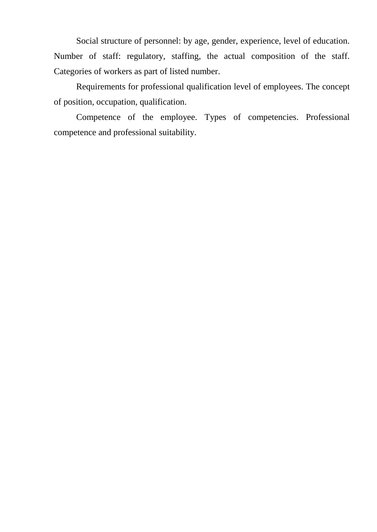Social structure of personnel: by age, gender, experience, level of education. Number of staff: regulatory, staffing, the actual composition of the staff. Categories of workers as part of listed number.

Requirements for professional qualification level of employees. The concept of position, occupation, qualification.

Competence of the employee. Types of competencies. Professional competence and professional suitability.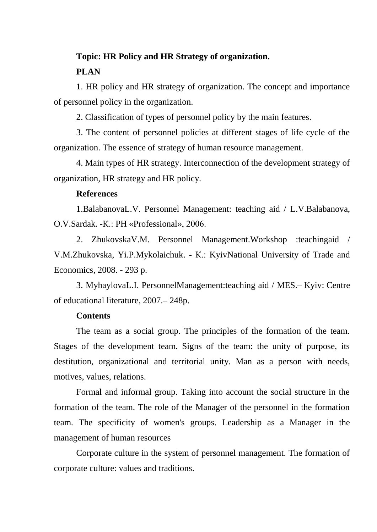## **Topic: HR Policy and HR Strategy of organization. PLAN**

1. HR policy and HR strategy of organization. The concept and importance of personnel policy in the organization.

2. Classification of types of personnel policy by the main features.

3. The content of personnel policies at different stages of life cycle of the organization. The essence of strategy of human resource management.

4. Main types of HR strategy. Interconnection of the development strategy of organization, HR strategy and HR policy.

## **References**

1.BalabanovaL.V. Personnel Management: teaching aid / L.V.Balabanova, O.V.Sardak. -К.: PH «Professional», 2006.

2. ZhukovskaV.M. Personnel Management.Workshop :teachingaid / V.M.Zhukovska, Yi.P.Mykolaichuk. - К.: KyivNational University of Trade and Economics, 2008. - 293 p.

3. MyhaylovaL.I. PersonnelManagement:teaching aid / MES.– Kyiv: Centre of educational literature, 2007.– 248p.

## **Contents**

The team as a social group. The principles of the formation of the team. Stages of the development team. Signs of the team: the unity of purpose, its destitution, organizational and territorial unity. Man as a person with needs, motives, values, relations.

Formal and informal group. Taking into account the social structure in the formation of the team. The role of the Manager of the personnel in the formation team. The specificity of women's groups. Leadership as a Manager in the management of human resources

Corporate culture in the system of personnel management. The formation of corporate culture: values and traditions.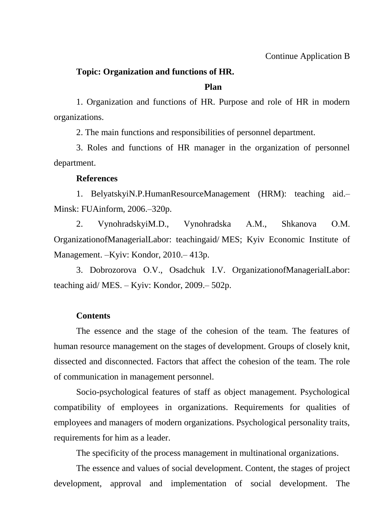## **Topic: Organization and functions of HR.**

#### **Plan**

1. Organization and functions of HR. Purpose and role of HR in modern organizations.

2. The main functions and responsibilities of personnel department.

3. Roles and functions of HR manager in the organization of personnel department.

#### **References**

[1. BelyatskyiN.P.HumanResourceManagement](http://www.lib.nau.edu.ua/search/Details.aspx?id=153566&lang=uk-UA) (HRM): teaching aid.– Minsk: FUAinform, [2006.–320p.](http://www.lib.nau.edu.ua/search/Details.aspx?id=153566&lang=uk-UA)

2. [VynohradskyiM.D., Vynohradska](http://www.lib.nau.edu.ua/search/Details.aspx?id=225980&lang=uk-UA) А.М., Shkanova О.М. [OrganizationofManagerialLabor: teachingaid/](http://www.lib.nau.edu.ua/search/Details.aspx?id=225980&lang=uk-UA) MES; Kyiv Economic Institute of [Management.](http://www.lib.nau.edu.ua/search/Details.aspx?id=225980&lang=uk-UA) –Kyiv: Kondor, 2010.– 413p.

3. Dobrozorova О.V., Osadchuk [І.V. OrganizationofManagerialLabor:](http://www.lib.nau.edu.ua/search/Details.aspx?id=209775&lang=uk-UA)  [teaching aid/](http://www.lib.nau.edu.ua/search/Details.aspx?id=209775&lang=uk-UA) MES. – Kyiv: Kondor, 2009.– 502p.

## **Contents**

The essence and the stage of the cohesion of the team. The features of human resource management on the stages of development. Groups of closely knit, dissected and disconnected. Factors that affect the cohesion of the team. The role of communication in management personnel.

Socio-psychological features of staff as object management. Psychological compatibility of employees in organizations. Requirements for qualities of employees and managers of modern organizations. Psychological personality traits, requirements for him as a leader.

The specificity of the process management in multinational organizations.

The essence and values of social development. Content, the stages of project development, approval and implementation of social development. The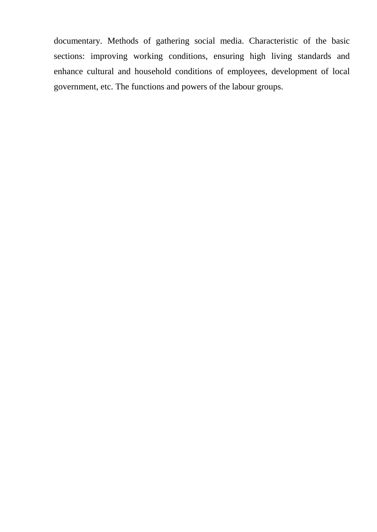documentary. Methods of gathering social media. Characteristic of the basic sections: improving working conditions, ensuring high living standards and enhance cultural and household conditions of employees, development of local government, etc. The functions and powers of the labour groups.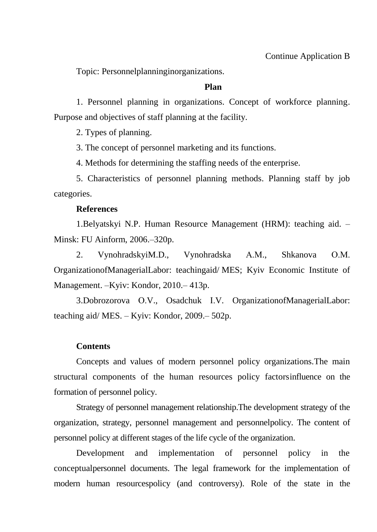Topic: Personnelplanninginorganizations.

## **Plan**

1. Personnel planning in organizations. Concept of workforce planning. Purpose and objectives of staff planning at the facility.

2. Types of planning.

3. The concept of personnel marketing and its functions.

4. Methods for determining the staffing needs of the enterprise.

5. Characteristics of personnel planning methods. Planning staff by job categories.

#### **References**

[1.Belyatskyi N.P. Human Resource Management \(HRM\): teaching aid. –](http://www.lib.nau.edu.ua/search/Details.aspx?id=153566&lang=uk-UA) Minsk: FU Ainform, [2006.–320p.](http://www.lib.nau.edu.ua/search/Details.aspx?id=153566&lang=uk-UA) 

2. [VynohradskyiM.D., Vynohradska](http://www.lib.nau.edu.ua/search/Details.aspx?id=225980&lang=uk-UA) А.М., Shkanova О.М. [OrganizationofManagerialLabor: teachingaid/](http://www.lib.nau.edu.ua/search/Details.aspx?id=225980&lang=uk-UA) MES; Kyiv Economic Institute of [Management.](http://www.lib.nau.edu.ua/search/Details.aspx?id=225980&lang=uk-UA) –Kyiv: Kondor, 2010.– 413p.

3.Dobrozorova О.V., Osadchuk [І.V. OrganizationofManagerialLabor:](http://www.lib.nau.edu.ua/search/Details.aspx?id=209775&lang=uk-UA)  [teaching aid/](http://www.lib.nau.edu.ua/search/Details.aspx?id=209775&lang=uk-UA) MES. – Kyiv: Kondor, 2009.– 502p.

## **Contents**

Concepts and values of modern personnel policy organizations.The main structural components of the human resources policy factorsinfluence on the formation of personnel policy.

Strategy of personnel management relationship.The development strategy of the organization, strategy, personnel management and personnelpolicy. The content of personnel policy at different stages of the life cycle of the organization.

Development and implementation of personnel policy in the conceptualpersonnel documents. The legal framework for the implementation of modern human resourcespolicy (and controversy). Role of the state in the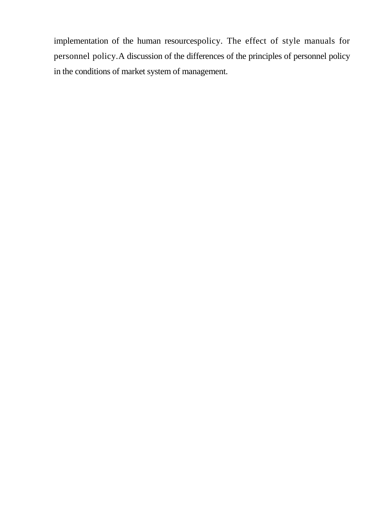implementation of the human resourcespolicy. The effect of style manuals for personnel policy.A discussion of the differences of the principles of personnel policy in the conditions of market system of management.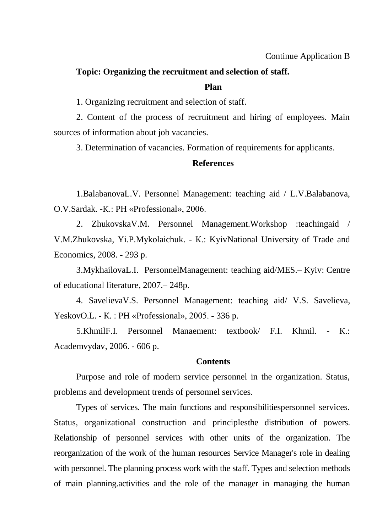## **Topic: Organizing the recruitment and selection of staff.**

#### **Plan**

1. Organizing recruitment and selection of staff.

2. Content of the process of recruitment and hiring of employees. Main sources of information about job vacancies.

3. Determination of vacancies. Formation of requirements for applicants.

#### **References**

1.BalabanovaL.V. Personnel Management: teaching aid / L.V.Balabanova, O.V.Sardak. -К.: PH «Professional», 2006.

2. ZhukovskaV.M. Personnel Management.Workshop :teachingaid / V.M.Zhukovska, Yi.P.Mykolaichuk. - К.: KyivNational University of Trade and Economics, 2008. - 293 p.

3.MykhailovaL.I. PersonnelManagement: teaching aid/MES.– Kyiv: Centre of educational literature, 2007.– 248p.

4. SavelievaV.S. Personnel Management: teaching aid/ V.S. Savelieva, YeskovO.L. - К. : PH «Professional», 2005. - 336 p.

5.KhmilF.I. Personnel Manaement: textbook/ F.I. Khmil. - К.: Academvydav, 2006. - 606 p.

#### **Contents**

Purpose and role of modern service personnel in the organization. Status, problems and development trends of personnel services.

Types of services. The main functions and responsibilitiespersonnel services. Status, organizational construction and principlesthe distribution of powers. Relationship of personnel services with other units of the organization. The reorganization of the work of the human resources Service Manager's role in dealing with personnel. The planning process work with the staff. Types and selection methods of main planning.activities and the role of the manager in managing the human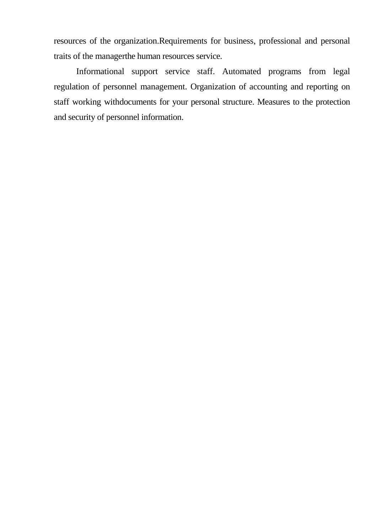resources of the organization.Requirements for business, professional and personal traits of the managerthe human resources service.

Informational support service staff. Automated programs from legal regulation of personnel management. Organization of accounting and reporting on staff working withdocuments for your personal structure. Measures to the protection and security of personnel information.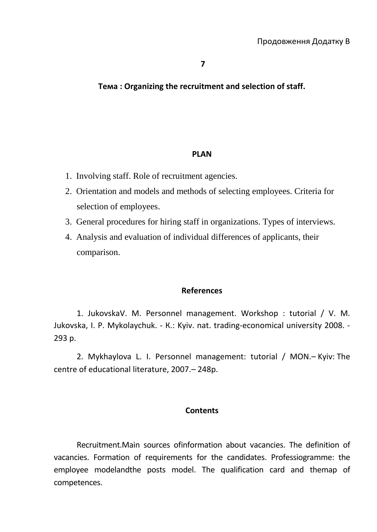## **Тема : Organizing the recruitment and selection of staff.**

#### **PLAN**

- 1. Involving staff. Role of recruitment agencies.
- 2. Orientation and models and methods of selecting employees. Criteria for selection of employees.
- 3. General procedures for hiring staff in organizations. Types of interviews.
- 4. Analysis and evaluation of individual differences of applicants, their comparison.

#### **References**

1. JukovskaV. M. Personnel management. Workshop : tutorial / V. M. Jukovska, I. P. Mykolaychuk. - К.: Kyiv. nat. trading-economical university 2008. - 293 p.

2. Mykhaylova L. I. Personnel management: tutorial / МОN.– Kyiv: The centre of educational literature, 2007.– 248p.

#### **Contents**

Recruitment.Main sources ofinformation about vacancies. The definition of vacancies. Formation of requirements for the candidates. Professiogramme: the employee modelandthe posts model. The qualification card and themap of competences.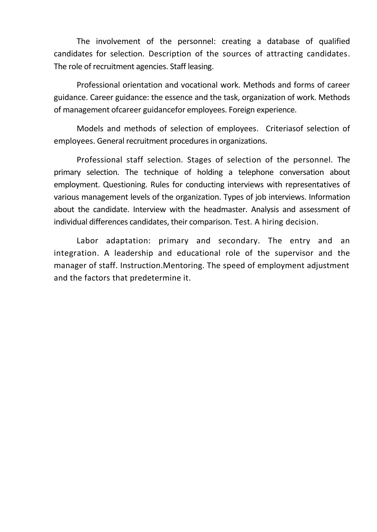The involvement of the personnel: creating a database of qualified candidates for selection. Description of the sources of attracting candidates. The role of recruitment agencies. Staff leasing.

Professional orientation and vocational work. Methods and forms of career guidance. Career guidance: the essence and the task, organization of work. Methods of management ofcareer guidancefor employees. Foreign experience.

Models and methods of selection of employees. Criteriasof selection of employees. General recruitment procedures in organizations.

Professional staff selection. Stages of selection of the personnel. The primary selection. The technique of holding a telephone conversation about employment. Questioning. Rules for conducting interviews with representatives of various management levels of the organization. Types of job interviews. Information about the candidate. Interview with the headmaster. Analysis and assessment of individual differences candidates, their comparison. Test. A hiring decision.

Labor adaptation: primary and secondary. The entry and an integration. A leadership and educational role of the supervisor and the manager of staff. Instruction.Mentoring. The speed of employment adjustment and the factors that predetermine it.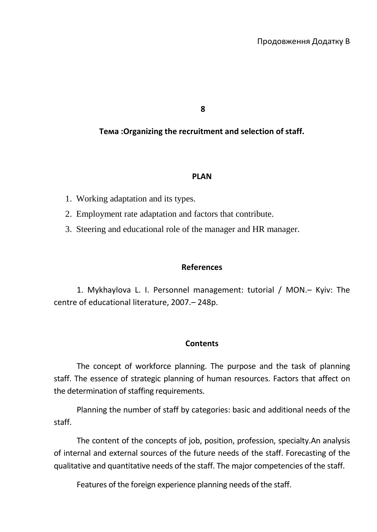**8**

**Тема :Organizing the recruitment and selection of staff.**

#### **PLAN**

- 1. Working adaptation and its types.
- 2. Employment rate adaptation and factors that contribute.
- 3. Steering and educational role of the manager and HR manager.

## **References**

1. Mykhaylova L. I. Personnel management: tutorial / МОN.– Kyiv: The centre of educational literature, 2007.– 248p.

## **Contents**

The concept of workforce planning. The purpose and the task of planning staff. The essence of strategic planning of human resources. Factors that affect on the determination of staffing requirements.

Planning the number of staff by categories: basic and additional needs of the staff.

The content of the concepts of job, position, profession, specialty.An analysis of internal and external sources of the future needs of the staff. Forecasting of the qualitative and quantitative needs of the staff. The major competencies of the staff.

Features of the foreign experience planning needs of the staff.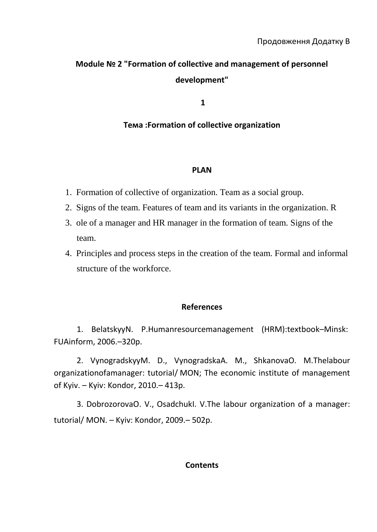# **Module № 2 "Formation of collective and management of personnel development"**

**1**

## **Тема :Formation of collective organization**

## **PLAN**

- 1. Formation of collective of organization. Team as a social group.
- 2. Signs of the team. Features of team and its variants in the organization. R
- 3. ole of a manager and HR manager in the formation of team. Signs of the team.
- 4. Principles and process steps in the creation of the team. Formal and informal structure of the workforce.

## **References**

[1. BelatskyyN. P.Humanresourcemanagement](http://www.lib.nau.edu.ua/search/Details.aspx?id=153566&lang=uk-UA) (HRM):textbook–Minsk: [FUAinform,](http://www.lib.nau.edu.ua/search/Details.aspx?id=153566&lang=uk-UA) 2006.–320p.

2. VynogradskyyM. D[., VynogradskaA. M., ShkanovaO. M.Thelabour](http://www.lib.nau.edu.ua/search/Details.aspx?id=225980&lang=uk-UA)  organizationofamanager: tutorial/ [MON; The economic institute of management](http://www.lib.nau.edu.ua/search/Details.aspx?id=225980&lang=uk-UA) of Kyiv. – Kyiv: [Kondor,](http://www.lib.nau.edu.ua/search/Details.aspx?id=225980&lang=uk-UA) 2010.– 413p.

3. DobrozorovaO. V[., OsadchukI. V.The labour organization of a manager:](http://www.lib.nau.edu.ua/search/Details.aspx?id=209775&lang=uk-UA)  [tutorial/](http://www.lib.nau.edu.ua/search/Details.aspx?id=209775&lang=uk-UA) МОN. – Kyiv: Kondor, 2009.– 502p.

## **Contents**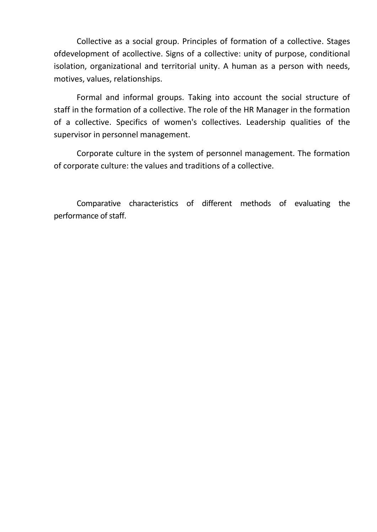Collective as a social group. Principles of formation of a collective. Stages ofdevelopment of acollective. Signs of a collective: unity of purpose, conditional isolation, organizational and territorial unity. A human as a person with needs, motives, values, relationships.

Formal and informal groups. Taking into account the social structure of staff in the formation of a collective. The role of the HR Manager in the formation of a collective. Specifics of women's collectives. Leadership qualities of the supervisor in personnel management.

Corporate culture in the system of personnel management. The formation of corporate culture: the values and traditions of a collective.

Comparative characteristics of different methods of evaluating the performance of staff.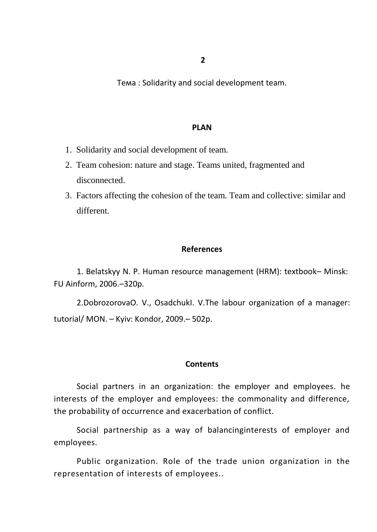Тема : Solidarity and social development team.

#### **PLAN**

- 1. Solidarity and social development of team.
- 2. Team cohesion: nature and stage. Teams united, fragmented and disconnected.
- 3. Factors affecting the cohesion of the team. Team and collective: similar and different.

### **References**

[1. Belatskyy N. P. Human resource management \(HRM\): textbook](http://www.lib.nau.edu.ua/search/Details.aspx?id=153566&lang=uk-UA)– Minsk: [FU Ainform,](http://www.lib.nau.edu.ua/search/Details.aspx?id=153566&lang=uk-UA) 2006.–320p.

2.DobrozorovaO. V[., OsadchukI. V.The labour organization of a manager:](http://www.lib.nau.edu.ua/search/Details.aspx?id=209775&lang=uk-UA)  [tutorial/](http://www.lib.nau.edu.ua/search/Details.aspx?id=209775&lang=uk-UA) МОN. – Kyiv: Kondor, 2009.– 502p.

#### **Contents**

Social partners in an organization: the employer and employees. he interests of the employer and employees: the commonality and difference, the probability of occurrence and exacerbation of conflict.

Social partnership as a way of balancinginterests of employer and employees.

Public organization. Role of the trade union organization in the representation of interests of employees..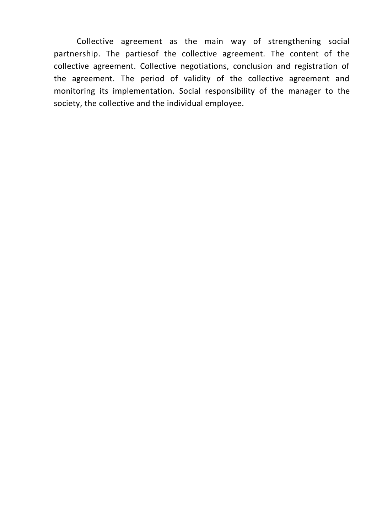Collective agreement as the main way of strengthening social partnership. The partiesof the collective agreement. The content of the collective agreement. Collective negotiations, conclusion and registration of the agreement. The period of validity of the collective agreement and monitoring its implementation. Social responsibility of the manager to the society, the collective and the individual employee.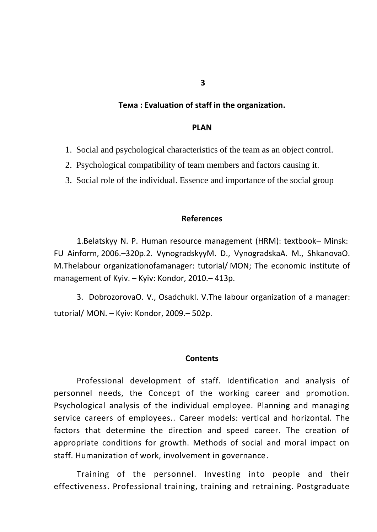#### **Тема : Evaluation of staff in the organization.**

#### **PLAN**

- 1. Social and psychological characteristics of the team as an object control.
- 2. Psychological compatibility of team members and factors causing it.
- 3. Social role of the individual. Essence and importance of the social group

#### **References**

[1.Belatskyy N. P. Human resource management \(HRM\): textbook](http://www.lib.nau.edu.ua/search/Details.aspx?id=153566&lang=uk-UA)– Minsk: [FU Ainform,](http://www.lib.nau.edu.ua/search/Details.aspx?id=153566&lang=uk-UA) 2006.–320p.2. VynogradskyyM. D[., VynogradskaA. M., ShkanovaO.](http://www.lib.nau.edu.ua/search/Details.aspx?id=225980&lang=uk-UA)  [M.Thelabour organizationofamanager: tutorial/](http://www.lib.nau.edu.ua/search/Details.aspx?id=225980&lang=uk-UA) MON; The economic institute of [management](http://www.lib.nau.edu.ua/search/Details.aspx?id=225980&lang=uk-UA) of Kyiv. – Kyiv: Kondor, 2010.– 413p.

3. DobrozorovaO. V[., OsadchukI. V.The labour organization of a manager:](http://www.lib.nau.edu.ua/search/Details.aspx?id=209775&lang=uk-UA)  [tutorial/](http://www.lib.nau.edu.ua/search/Details.aspx?id=209775&lang=uk-UA) МОN. – Kyiv: Kondor, 2009.– 502p.

#### **Contents**

Professional development of staff. Identification and analysis of personnel needs, the Concept of the working career and promotion. Psychological analysis of the individual employee. Planning and managing service careers of employees.. Career models: vertical and horizontal. The factors that determine the direction and speed career. The creation of appropriate conditions for growth. Methods of social and moral impact on staff. Humanization of work, involvement in governance.

Training of the personnel. Investing into people and their effectiveness. Professional training, training and retraining. Postgraduate

**3**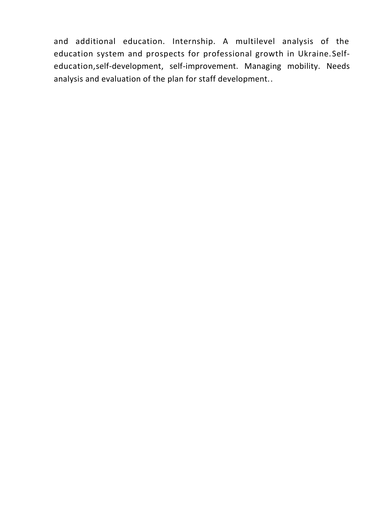and additional education. Internship. A multilevel analysis of the education system and prospects for professional growth in Ukraine.Selfeducation,self-development, self-improvement. Managing mobility. Needs analysis and evaluation of the plan for staff development..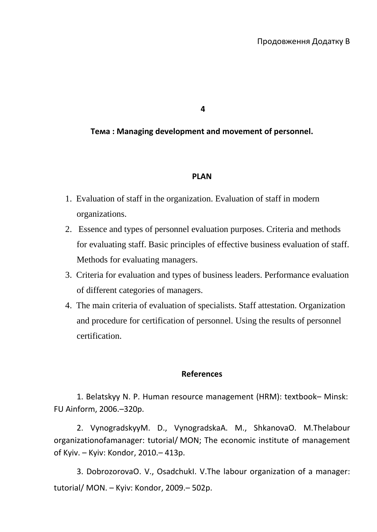**4**

**Тема : Managing development and movement of personnel.**

## **PLAN**

- 1. Evaluation of staff in the organization. Evaluation of staff in modern organizations.
- 2. Essence and types of personnel evaluation purposes. Criteria and methods for evaluating staff. Basic principles of effective business evaluation of staff. Methods for evaluating managers.
- 3. Criteria for evaluation and types of business leaders. Performance evaluation of different categories of managers.
- 4. The main criteria of evaluation of specialists. Staff attestation. Organization and procedure for certification of personnel. Using the results of personnel certification.

## **References**

[1. Belatskyy N. P. Human resource management \(HRM\): textbook](http://www.lib.nau.edu.ua/search/Details.aspx?id=153566&lang=uk-UA)– Minsk: [FU Ainform,](http://www.lib.nau.edu.ua/search/Details.aspx?id=153566&lang=uk-UA) 2006.–320p.

2. VynogradskyyM. D[., VynogradskaA. M., ShkanovaO. M.Thelabour](http://www.lib.nau.edu.ua/search/Details.aspx?id=225980&lang=uk-UA)  organizationofamanager: tutorial/ [MON; The economic institute of management](http://www.lib.nau.edu.ua/search/Details.aspx?id=225980&lang=uk-UA) of Kyiv. – Kyiv: [Kondor,](http://www.lib.nau.edu.ua/search/Details.aspx?id=225980&lang=uk-UA) 2010.– 413p.

3. DobrozorovaO. V[., OsadchukI. V.The labour organization of a manager:](http://www.lib.nau.edu.ua/search/Details.aspx?id=209775&lang=uk-UA)  [tutorial/](http://www.lib.nau.edu.ua/search/Details.aspx?id=209775&lang=uk-UA) МОN. – Kyiv: Kondor, 2009.– 502p.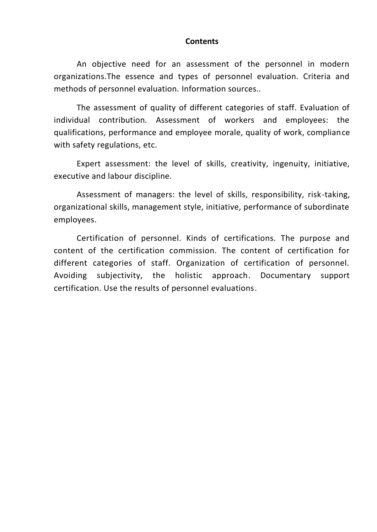#### **Contents**

An objective need for an assessment of the personnel in modern organizations.The essence and types of personnel evaluation. Criteria and methods of personnel evaluation. Information sources..

The assessment of quality of different categories of staff. Evaluation of individual contribution. Assessment of workers and employees: the qualifications, performance and employee morale, quality of work, compliance with safety regulations, etc.

Expert assessment: the level of skills, creativity, ingenuity, initiative, executive and labour discipline.

Assessment of managers: the level of skills, responsibility, risk-taking, organizational skills, management style, initiative, performance of subordinate employees.

Certification of personnel. Kinds of certifications. The purpose and content of the certification commission. The content of certification for different categories of staff. Organization of certification of personnel. Avoiding subjectivity, the holistic approach. Documentary support certification. Use the results of personnel evaluations.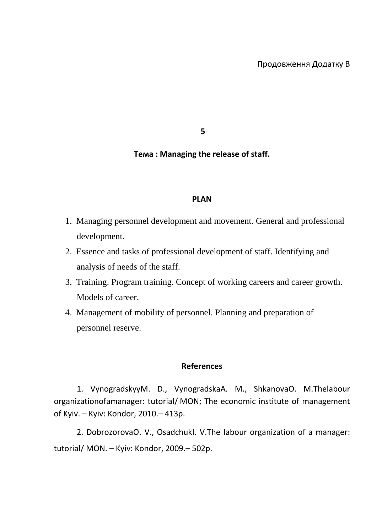**5**

## **Тема : Managing the release of staff.**

#### **PLAN**

- 1. Managing personnel development and movement. General and professional development.
- 2. Essence and tasks of professional development of staff. Identifying and analysis of needs of the staff.
- 3. Training. Program training. Concept of working careers and career growth. Models of career.
- 4. Management of mobility of personnel. Planning and preparation of personnel reserve.

#### **References**

1. VynogradskyyM. D[., VynogradskaA. M., ShkanovaO. M.Thelabour](http://www.lib.nau.edu.ua/search/Details.aspx?id=225980&lang=uk-UA)  organizationofamanager: tutorial/ [MON; The economic institute of management](http://www.lib.nau.edu.ua/search/Details.aspx?id=225980&lang=uk-UA) of Kyiv. – Kyiv: [Kondor,](http://www.lib.nau.edu.ua/search/Details.aspx?id=225980&lang=uk-UA) 2010.– 413p.

2. [DobrozorovaO. V., OsadchukI. V.The labour organization of a manager:](http://www.lib.nau.edu.ua/search/Details.aspx?id=209775&lang=uk-UA)  [tutorial/](http://www.lib.nau.edu.ua/search/Details.aspx?id=209775&lang=uk-UA) МОN. – Kyiv: Kondor, 2009.– 502p.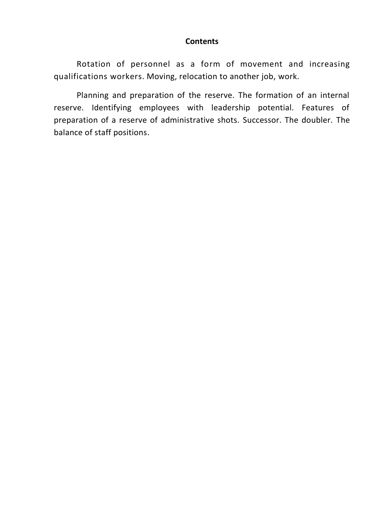## **Contents**

Rotation of personnel as a form of movement and increasing qualifications workers. Moving, relocation to another job, work.

Planning and preparation of the reserve. The formation of an internal reserve. Identifying employees with leadership potential. Features of preparation of a reserve of administrative shots. Successor. The doubler. The balance of staff positions.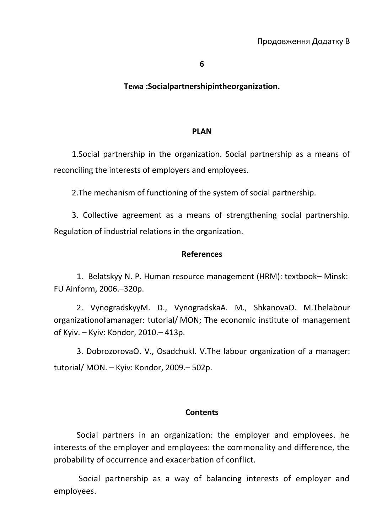## **Тема :Socialpartnershipintheorganization.**

#### **PLAN**

1.Social partnership in the organization. Social partnership as a means of reconciling the interests of employers and employees.

2.The mechanism of functioning of the system of social partnership.

3. Collective agreement as a means of strengthening social partnership. Regulation of industrial relations in the organization.

## **References**

[1. Belatskyy N. P. Human resource management \(HRM\): textbook](http://www.lib.nau.edu.ua/search/Details.aspx?id=153566&lang=uk-UA)– Minsk: [FU Ainform,](http://www.lib.nau.edu.ua/search/Details.aspx?id=153566&lang=uk-UA) 2006.–320p.

2. VynogradskyyM. D., [VynogradskaA. M., ShkanovaO. M.Thelabour](http://www.lib.nau.edu.ua/search/Details.aspx?id=225980&lang=uk-UA)  organizationofamanager: tutorial/ [MON; The economic institute of management](http://www.lib.nau.edu.ua/search/Details.aspx?id=225980&lang=uk-UA) of Kyiv. – Kyiv: [Kondor,](http://www.lib.nau.edu.ua/search/Details.aspx?id=225980&lang=uk-UA) 2010.– 413p.

3. DobrozorovaO. V[., OsadchukI. V.The labour organization of a manager:](http://www.lib.nau.edu.ua/search/Details.aspx?id=209775&lang=uk-UA)  [tutorial/](http://www.lib.nau.edu.ua/search/Details.aspx?id=209775&lang=uk-UA) МОN. – Kyiv: Kondor, 2009.– 502p.

## **Contents**

Social partners in an organization: the employer and employees. he interests of the employer and employees: the commonality and difference, the probability of occurrence and exacerbation of conflict.

Social partnership as a way of balancing interests of employer and employees.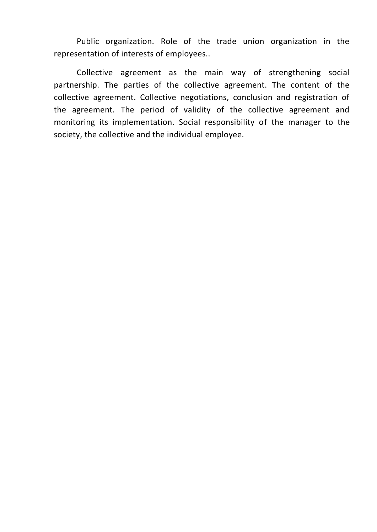Public organization. Role of the trade union organization in the representation of interests of employees..

Collective agreement as the main way of strengthening social partnership. The parties of the collective agreement. The content of the collective agreement. Collective negotiations, conclusion and registration of the agreement. The period of validity of the collective agreement and monitoring its implementation. Social responsibility of the manager to the society, the collective and the individual employee.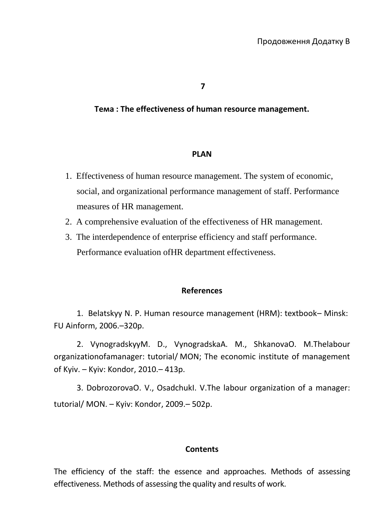**7**

## **Тема : The effectiveness of human resource management.**

#### **PLAN**

- 1. Effectiveness of human resource management. The system of economic, social, and organizational performance management of staff. Performance measures of HR management.
- 2. A comprehensive evaluation of the effectiveness of HR management.
- 3. The interdependence of enterprise efficiency and staff performance. Performance evaluation ofHR department effectiveness.

## **References**

[1. Belatskyy N. P. Human resource management \(HRM\): textbook](http://www.lib.nau.edu.ua/search/Details.aspx?id=153566&lang=uk-UA)– Minsk: [FU Ainform,](http://www.lib.nau.edu.ua/search/Details.aspx?id=153566&lang=uk-UA) 2006.–320p.

2. VynogradskyyM. D[., VynogradskaA. M., ShkanovaO. M.Thelabour](http://www.lib.nau.edu.ua/search/Details.aspx?id=225980&lang=uk-UA)  organizationofamanager: tutorial/ [MON; The economic institute of management](http://www.lib.nau.edu.ua/search/Details.aspx?id=225980&lang=uk-UA) of Kyiv. – Kyiv: [Kondor,](http://www.lib.nau.edu.ua/search/Details.aspx?id=225980&lang=uk-UA) 2010.– 413p.

3. DobrozorovaO. V[., OsadchukI. V.The labour organization of a manager:](http://www.lib.nau.edu.ua/search/Details.aspx?id=209775&lang=uk-UA)  [tutorial/](http://www.lib.nau.edu.ua/search/Details.aspx?id=209775&lang=uk-UA) МОN. – Kyiv: Kondor, 2009.– 502p.

## **Contents**

The efficiency of the staff: the essence and approaches. Methods of assessing effectiveness. Methods of assessing the quality and results of work.